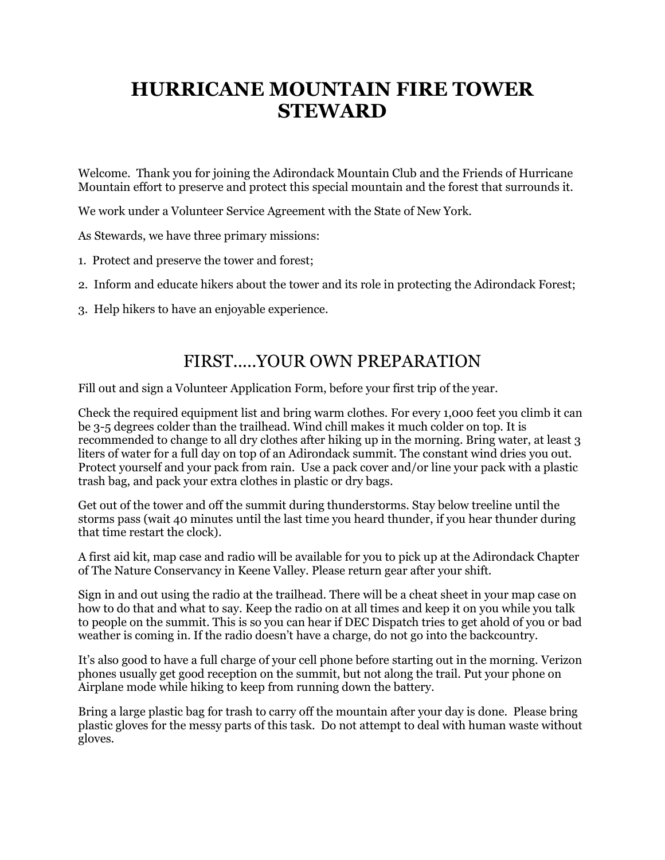# **HURRICANE MOUNTAIN FIRE TOWER STEWARD**

Welcome. Thank you for joining the Adirondack Mountain Club and the Friends of Hurricane Mountain effort to preserve and protect this special mountain and the forest that surrounds it.

We work under a Volunteer Service Agreement with the State of New York.

As Stewards, we have three primary missions:

- 1. Protect and preserve the tower and forest;
- 2. Inform and educate hikers about the tower and its role in protecting the Adirondack Forest;
- 3. Help hikers to have an enjoyable experience.

## FIRST.....YOUR OWN PREPARATION

Fill out and sign a Volunteer Application Form, before your first trip of the year.

Check the required equipment list and bring warm clothes. For every 1,000 feet you climb it can be 3-5 degrees colder than the trailhead. Wind chill makes it much colder on top. It is recommended to change to all dry clothes after hiking up in the morning. Bring water, at least 3 liters of water for a full day on top of an Adirondack summit. The constant wind dries you out. Protect yourself and your pack from rain. Use a pack cover and/or line your pack with a plastic trash bag, and pack your extra clothes in plastic or dry bags.

Get out of the tower and off the summit during thunderstorms. Stay below treeline until the storms pass (wait 40 minutes until the last time you heard thunder, if you hear thunder during that time restart the clock).

A first aid kit, map case and radio will be available for you to pick up at the Adirondack Chapter of The Nature Conservancy in Keene Valley. Please return gear after your shift.

Sign in and out using the radio at the trailhead. There will be a cheat sheet in your map case on how to do that and what to say. Keep the radio on at all times and keep it on you while you talk to people on the summit. This is so you can hear if DEC Dispatch tries to get ahold of you or bad weather is coming in. If the radio doesn't have a charge, do not go into the backcountry.

It's also good to have a full charge of your cell phone before starting out in the morning. Verizon phones usually get good reception on the summit, but not along the trail. Put your phone on Airplane mode while hiking to keep from running down the battery.

Bring a large plastic bag for trash to carry off the mountain after your day is done. Please bring plastic gloves for the messy parts of this task. Do not attempt to deal with human waste without gloves.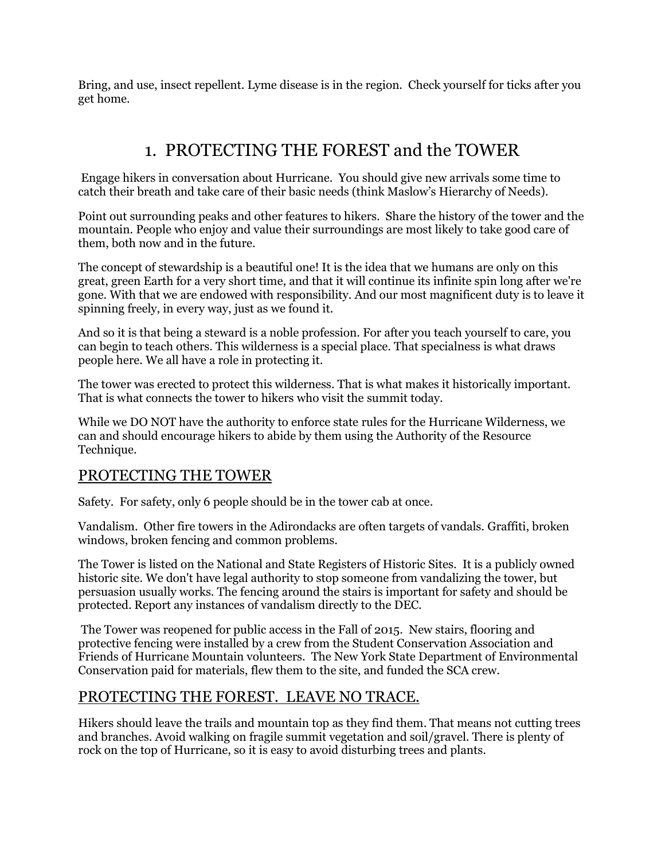Bring, and use, insect repellent. Lyme disease is in the region. Check yourself for ticks after you get home.

## 1. PROTECTING THE FOREST and the TOWER

Engage hikers in conversation about Hurricane. You should give new arrivals some time to catch their breath and take care of their basic needs (think Maslow's Hierarchy of Needs).

Point out surrounding peaks and other features to hikers. Share the history of the tower and the mountain. People who enjoy and value their surroundings are most likely to take good care of them, both now and in the future.

The concept of stewardship is a beautiful one! It is the idea that we humans are only on this great, green Earth for a very short time, and that it will continue its infinite spin long after we're gone. With that we are endowed with responsibility. And our most magnificent duty is to leave it spinning freely, in every way, just as we found it.

And so it is that being a steward is a noble profession. For after you teach yourself to care, you can begin to teach others. This wilderness is a special place. That specialness is what draws people here. We all have a role in protecting it.

The tower was erected to protect this wilderness. That is what makes it historically important. That is what connects the tower to hikers who visit the summit today.

While we DO NOT have the authority to enforce state rules for the Hurricane Wilderness, we can and should encourage hikers to abide by them using the Authority of the Resource Technique.

### PROTECTING THE TOWER

Safety. For safety, only 6 people should be in the tower cab at once.

Vandalism. Other fire towers in the Adirondacks are often targets of vandals. Graffiti, broken windows, broken fencing and common problems.

The Tower is listed on the National and State Registers of Historic Sites. It is a publicly owned historic site. We don't have legal authority to stop someone from vandalizing the tower, but persuasion usually works. The fencing around the stairs is important for safety and should be protected. Report any instances of vandalism directly to the DEC.

The Tower was reopened for public access in the Fall of 2015. New stairs, flooring and protective fencing were installed by a crew from the Student Conservation Association and Friends of Hurricane Mountain volunteers. The New York State Department of Environmental Conservation paid for materials, flew them to the site, and funded the SCA crew.

### PROTECTING THE FOREST. LEAVE NO TRACE.

Hikers should leave the trails and mountain top as they find them. That means not cutting trees and branches. Avoid walking on fragile summit vegetation and soil/gravel. There is plenty of rock on the top of Hurricane, so it is easy to avoid disturbing trees and plants.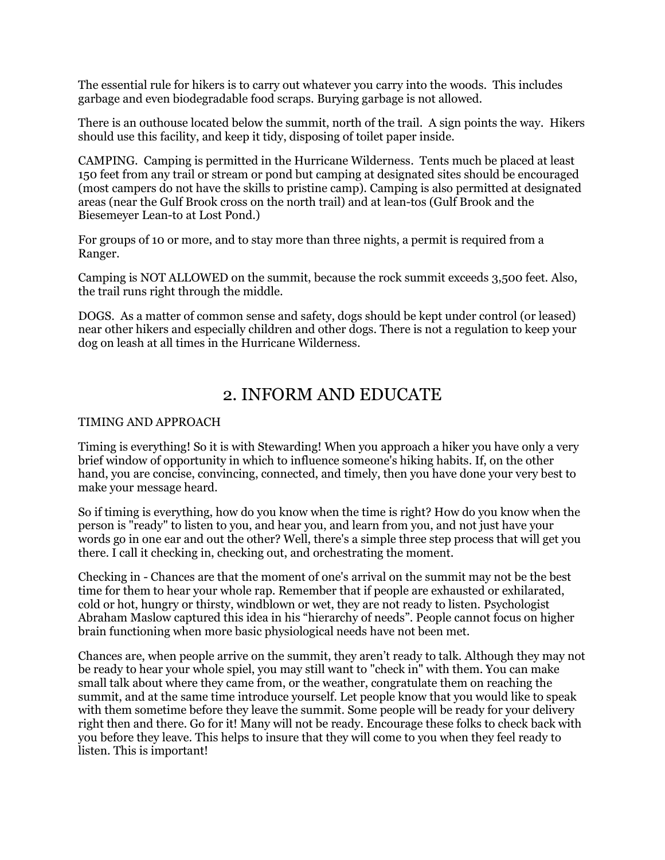The essential rule for hikers is to carry out whatever you carry into the woods. This includes garbage and even biodegradable food scraps. Burying garbage is not allowed.

There is an outhouse located below the summit, north of the trail. A sign points the way. Hikers should use this facility, and keep it tidy, disposing of toilet paper inside.

CAMPING. Camping is permitted in the Hurricane Wilderness. Tents much be placed at least 150 feet from any trail or stream or pond but camping at designated sites should be encouraged (most campers do not have the skills to pristine camp). Camping is also permitted at designated areas (near the Gulf Brook cross on the north trail) and at lean-tos (Gulf Brook and the Biesemeyer Lean-to at Lost Pond.)

For groups of 10 or more, and to stay more than three nights, a permit is required from a Ranger.

Camping is NOT ALLOWED on the summit, because the rock summit exceeds 3,500 feet. Also, the trail runs right through the middle.

DOGS. As a matter of common sense and safety, dogs should be kept under control (or leased) near other hikers and especially children and other dogs. There is not a regulation to keep your dog on leash at all times in the Hurricane Wilderness.

## 2. INFORM AND EDUCATE

#### TIMING AND APPROACH

Timing is everything! So it is with Stewarding! When you approach a hiker you have only a very brief window of opportunity in which to influence someone's hiking habits. If, on the other hand, you are concise, convincing, connected, and timely, then you have done your very best to make your message heard.

So if timing is everything, how do you know when the time is right? How do you know when the person is "ready" to listen to you, and hear you, and learn from you, and not just have your words go in one ear and out the other? Well, there's a simple three step process that will get you there. I call it checking in, checking out, and orchestrating the moment.

Checking in - Chances are that the moment of one's arrival on the summit may not be the best time for them to hear your whole rap. Remember that if people are exhausted or exhilarated, cold or hot, hungry or thirsty, windblown or wet, they are not ready to listen. Psychologist Abraham Maslow captured this idea in his "hierarchy of needs". People cannot focus on higher brain functioning when more basic physiological needs have not been met.

Chances are, when people arrive on the summit, they aren't ready to talk. Although they may not be ready to hear your whole spiel, you may still want to "check in" with them. You can make small talk about where they came from, or the weather, congratulate them on reaching the summit, and at the same time introduce yourself. Let people know that you would like to speak with them sometime before they leave the summit. Some people will be ready for your delivery right then and there. Go for it! Many will not be ready. Encourage these folks to check back with you before they leave. This helps to insure that they will come to you when they feel ready to listen. This is important!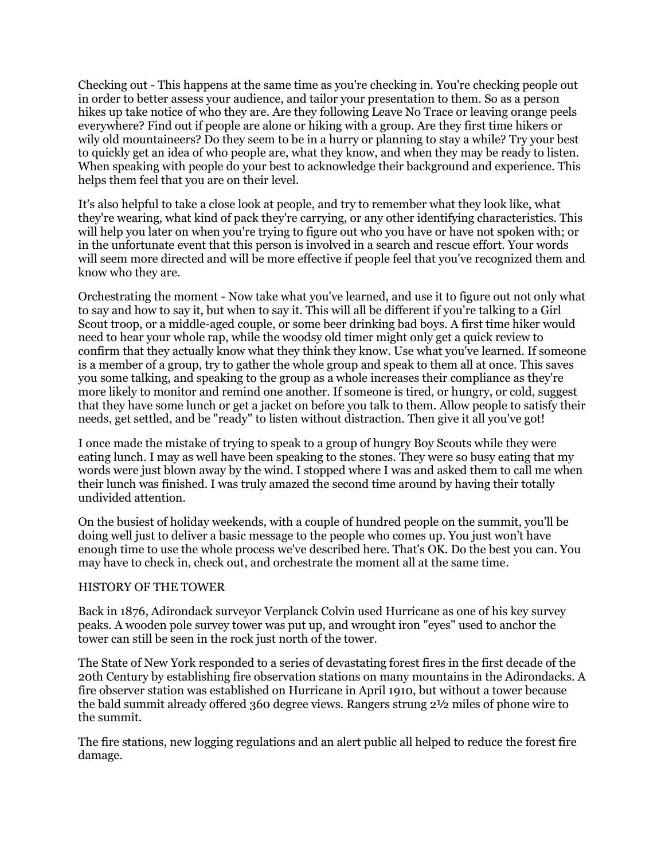Checking out - This happens at the same time as you're checking in. You're checking people out in order to better assess your audience, and tailor your presentation to them. So as a person hikes up take notice of who they are. Are they following Leave No Trace or leaving orange peels everywhere? Find out if people are alone or hiking with a group. Are they first time hikers or wily old mountaineers? Do they seem to be in a hurry or planning to stay a while? Try your best to quickly get an idea of who people are, what they know, and when they may be ready to listen. When speaking with people do your best to acknowledge their background and experience. This helps them feel that you are on their level.

It's also helpful to take a close look at people, and try to remember what they look like, what they're wearing, what kind of pack they're carrying, or any other identifying characteristics. This will help you later on when you're trying to figure out who you have or have not spoken with; or in the unfortunate event that this person is involved in a search and rescue effort. Your words will seem more directed and will be more effective if people feel that you've recognized them and know who they are.

Orchestrating the moment - Now take what you've learned, and use it to figure out not only what to say and how to say it, but when to say it. This will all be different if you're talking to a Girl Scout troop, or a middle-aged couple, or some beer drinking bad boys. A first time hiker would need to hear your whole rap, while the woodsy old timer might only get a quick review to confirm that they actually know what they think they know. Use what you've learned. If someone is a member of a group, try to gather the whole group and speak to them all at once. This saves you some talking, and speaking to the group as a whole increases their compliance as they're more likely to monitor and remind one another. If someone is tired, or hungry, or cold, suggest that they have some lunch or get a jacket on before you talk to them. Allow people to satisfy their needs, get settled, and be "ready" to listen without distraction. Then give it all you've got!

I once made the mistake of trying to speak to a group of hungry Boy Scouts while they were eating lunch. I may as well have been speaking to the stones. They were so busy eating that my words were just blown away by the wind. I stopped where I was and asked them to call me when their lunch was finished. I was truly amazed the second time around by having their totally undivided attention.

On the busiest of holiday weekends, with a couple of hundred people on the summit, you'll be doing well just to deliver a basic message to the people who comes up. You just won't have enough time to use the whole process we've described here. That's OK. Do the best you can. You may have to check in, check out, and orchestrate the moment all at the same time.

#### HISTORY OF THE TOWER

Back in 1876, Adirondack surveyor Verplanck Colvin used Hurricane as one of his key survey peaks. A wooden pole survey tower was put up, and wrought iron "eyes" used to anchor the tower can still be seen in the rock just north of the tower.

The State of New York responded to a series of devastating forest fires in the first decade of the 20th Century by establishing fire observation stations on many mountains in the Adirondacks. A fire observer station was established on Hurricane in April 1910, but without a tower because the bald summit already offered 360 degree views. Rangers strung 2½ miles of phone wire to the summit.

The fire stations, new logging regulations and an alert public all helped to reduce the forest fire damage.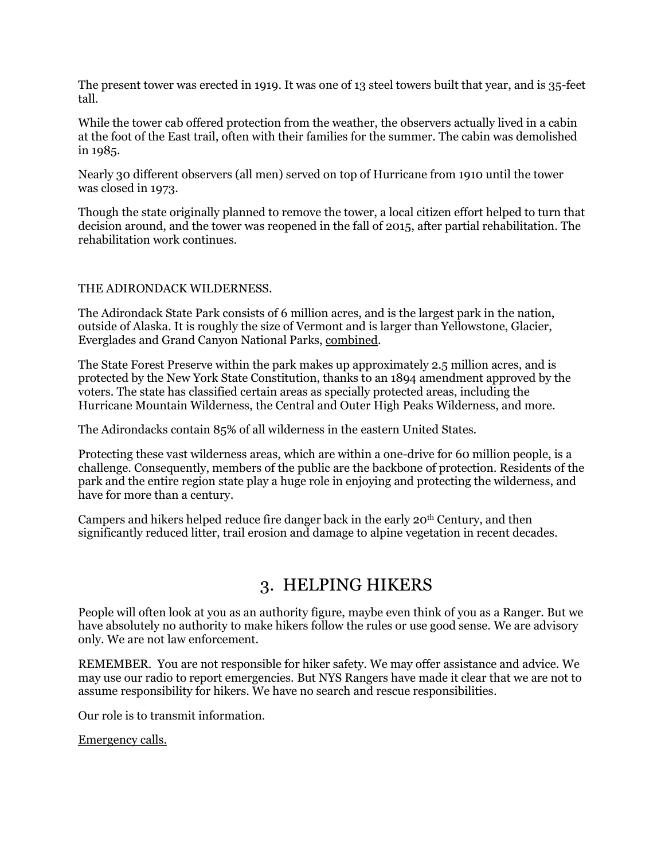The present tower was erected in 1919. It was one of 13 steel towers built that year, and is 35-feet tall.

While the tower cab offered protection from the weather, the observers actually lived in a cabin at the foot of the East trail, often with their families for the summer. The cabin was demolished in 1985.

Nearly 30 different observers (all men) served on top of Hurricane from 1910 until the tower was closed in 1973.

Though the state originally planned to remove the tower, a local citizen effort helped to turn that decision around, and the tower was reopened in the fall of 2015, after partial rehabilitation. The rehabilitation work continues.

#### THE ADIRONDACK WILDERNESS.

The Adirondack State Park consists of 6 million acres, and is the largest park in the nation, outside of Alaska. It is roughly the size of Vermont and is larger than Yellowstone, Glacier, Everglades and Grand Canyon National Parks, combined.

The State Forest Preserve within the park makes up approximately 2.5 million acres, and is protected by the New York State Constitution, thanks to an 1894 amendment approved by the voters. The state has classified certain areas as specially protected areas, including the Hurricane Mountain Wilderness, the Central and Outer High Peaks Wilderness, and more.

The Adirondacks contain 85% of all wilderness in the eastern United States.

Protecting these vast wilderness areas, which are within a one-drive for 60 million people, is a challenge. Consequently, members of the public are the backbone of protection. Residents of the park and the entire region state play a huge role in enjoying and protecting the wilderness, and have for more than a century.

Campers and hikers helped reduce fire danger back in the early 20th Century, and then significantly reduced litter, trail erosion and damage to alpine vegetation in recent decades.

## 3. HELPING HIKERS

People will often look at you as an authority figure, maybe even think of you as a Ranger. But we have absolutely no authority to make hikers follow the rules or use good sense. We are advisory only. We are not law enforcement.

REMEMBER. You are not responsible for hiker safety. We may offer assistance and advice. We may use our radio to report emergencies. But NYS Rangers have made it clear that we are not to assume responsibility for hikers. We have no search and rescue responsibilities.

Our role is to transmit information.

Emergency calls.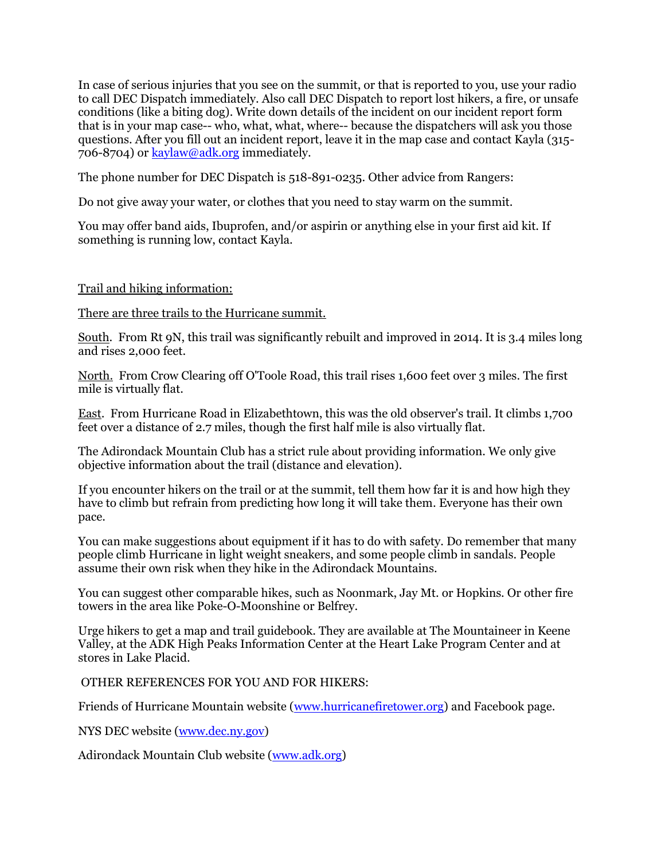In case of serious injuries that you see on the summit, or that is reported to you, use your radio to call DEC Dispatch immediately. Also call DEC Dispatch to report lost hikers, a fire, or unsafe conditions (like a biting dog). Write down details of the incident on our incident report form that is in your map case-- who, what, what, where-- because the dispatchers will ask you those questions. After you fill out an incident report, leave it in the map case and contact Kayla (315- 706-8704) or [kaylaw@adk.org](mailto:kaylaw@adk.org) immediately.

The phone number for DEC Dispatch is 518-891-0235. Other advice from Rangers:

Do not give away your water, or clothes that you need to stay warm on the summit.

You may offer band aids, Ibuprofen, and/or aspirin or anything else in your first aid kit. If something is running low, contact Kayla.

#### Trail and hiking information:

There are three trails to the Hurricane summit.

South. From Rt 9N, this trail was significantly rebuilt and improved in 2014. It is 3.4 miles long and rises 2,000 feet.

North. From Crow Clearing off O'Toole Road, this trail rises 1,600 feet over 3 miles. The first mile is virtually flat.

East. From Hurricane Road in Elizabethtown, this was the old observer's trail. It climbs 1,700 feet over a distance of 2.7 miles, though the first half mile is also virtually flat.

The Adirondack Mountain Club has a strict rule about providing information. We only give objective information about the trail (distance and elevation).

If you encounter hikers on the trail or at the summit, tell them how far it is and how high they have to climb but refrain from predicting how long it will take them. Everyone has their own pace.

You can make suggestions about equipment if it has to do with safety. Do remember that many people climb Hurricane in light weight sneakers, and some people climb in sandals. People assume their own risk when they hike in the Adirondack Mountains.

You can suggest other comparable hikes, such as Noonmark, Jay Mt. or Hopkins. Or other fire towers in the area like Poke-O-Moonshine or Belfrey.

Urge hikers to get a map and trail guidebook. They are available at The Mountaineer in Keene Valley, at the ADK High Peaks Information Center at the Heart Lake Program Center and at stores in Lake Placid.

OTHER REFERENCES FOR YOU AND FOR HIKERS:

Friends of Hurricane Mountain website [\(www.hurricanefiretower.org\)](http://www.hurricanefiretower.org/) and Facebook page.

NYS DEC website [\(www.dec.ny.gov\)](http://www.dec.ny.gov/)

Adirondack Mountain Club website [\(www.adk.org\)](http://www.adk.org/)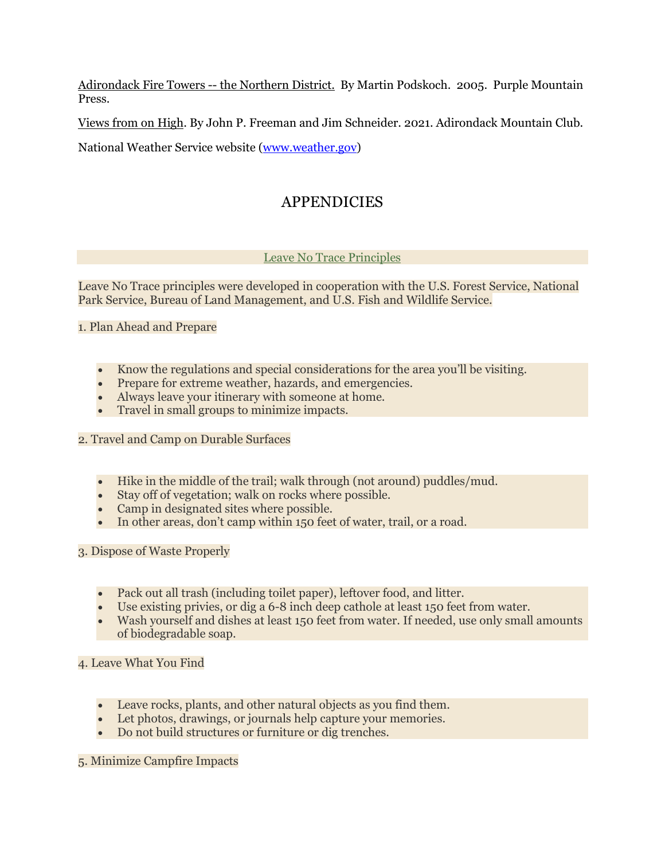Adirondack Fire Towers -- the Northern District. By Martin Podskoch. 2005. Purple Mountain Press.

Views from on High. By John P. Freeman and Jim Schneider. 2021. Adirondack Mountain Club.

National Weather Service website [\(www.weather.gov\)](http://www.weather.gov/)

## **APPENDICIES**

### Leave No Trace Principles

Leave No Trace principles were developed in cooperation with the U.S. Forest Service, National Park Service, Bureau of Land Management, and U.S. Fish and Wildlife Service.

### 1. Plan Ahead and Prepare

- Know the regulations and special considerations for the area you'll be visiting.
- Prepare for extreme weather, hazards, and emergencies.
- Always leave your itinerary with someone at home.
- Travel in small groups to minimize impacts.

#### 2. Travel and Camp on Durable Surfaces

- Hike in the middle of the trail; walk through (not around) puddles/mud.
- Stay off of vegetation; walk on rocks where possible.
- Camp in designated sites where possible.
- In other areas, don't camp within 150 feet of water, trail, or a road.

#### 3. Dispose of Waste Properly

- Pack out all trash (including toilet paper), leftover food, and litter.
- Use existing privies, or dig a 6-8 inch deep cathole at least 150 feet from water.
- Wash yourself and dishes at least 150 feet from water. If needed, use only small amounts of biodegradable soap.

#### 4. Leave What You Find

- Leave rocks, plants, and other natural objects as you find them.
- Let photos, drawings, or journals help capture your memories.
- Do not build structures or furniture or dig trenches.

#### 5. Minimize Campfire Impacts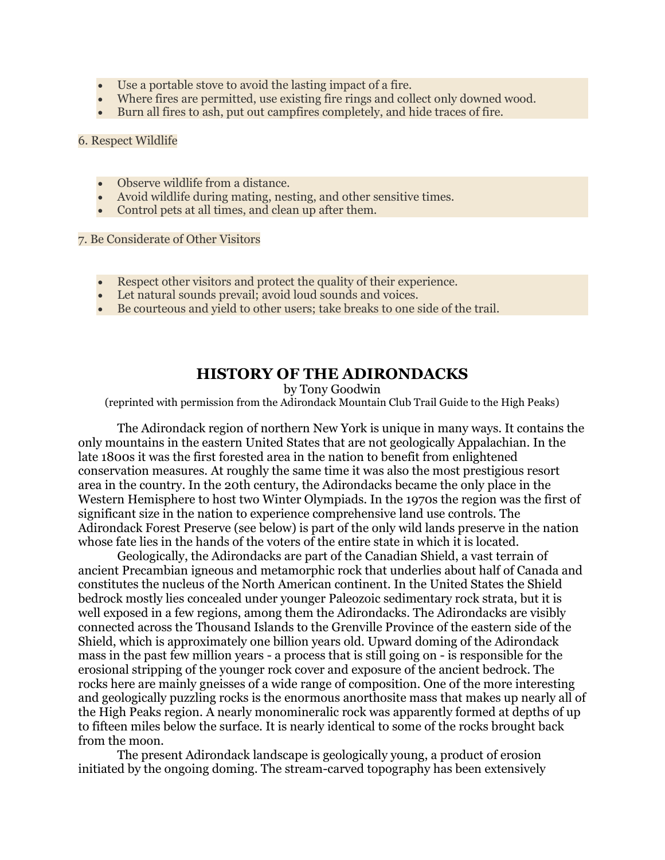- Use a portable stove to avoid the lasting impact of a fire.
- Where fires are permitted, use existing fire rings and collect only downed wood.
- Burn all fires to ash, put out campfires completely, and hide traces of fire.

#### 6. Respect Wildlife

- Observe wildlife from a distance.
- Avoid wildlife during mating, nesting, and other sensitive times.
- Control pets at all times, and clean up after them.

7. Be Considerate of Other Visitors

- Respect other visitors and protect the quality of their experience.
- Let natural sounds prevail; avoid loud sounds and voices.
- Be courteous and yield to other users; take breaks to one side of the trail.

### **HISTORY OF THE ADIRONDACKS**

by Tony Goodwin

(reprinted with permission from the Adirondack Mountain Club Trail Guide to the High Peaks)

The Adirondack region of northern New York is unique in many ways. It contains the only mountains in the eastern United States that are not geologically Appalachian. In the late 1800s it was the first forested area in the nation to benefit from enlightened conservation measures. At roughly the same time it was also the most prestigious resort area in the country. In the 20th century, the Adirondacks became the only place in the Western Hemisphere to host two Winter Olympiads. In the 1970s the region was the first of significant size in the nation to experience comprehensive land use controls. The Adirondack Forest Preserve (see below) is part of the only wild lands preserve in the nation whose fate lies in the hands of the voters of the entire state in which it is located.

Geologically, the Adirondacks are part of the Canadian Shield, a vast terrain of ancient Precambian igneous and metamorphic rock that underlies about half of Canada and constitutes the nucleus of the North American continent. In the United States the Shield bedrock mostly lies concealed under younger Paleozoic sedimentary rock strata, but it is well exposed in a few regions, among them the Adirondacks. The Adirondacks are visibly connected across the Thousand Islands to the Grenville Province of the eastern side of the Shield, which is approximately one billion years old. Upward doming of the Adirondack mass in the past few million years - a process that is still going on - is responsible for the erosional stripping of the younger rock cover and exposure of the ancient bedrock. The rocks here are mainly gneisses of a wide range of composition. One of the more interesting and geologically puzzling rocks is the enormous anorthosite mass that makes up nearly all of the High Peaks region. A nearly monomineralic rock was apparently formed at depths of up to fifteen miles below the surface. It is nearly identical to some of the rocks brought back from the moon.

The present Adirondack landscape is geologically young, a product of erosion initiated by the ongoing doming. The stream-carved topography has been extensively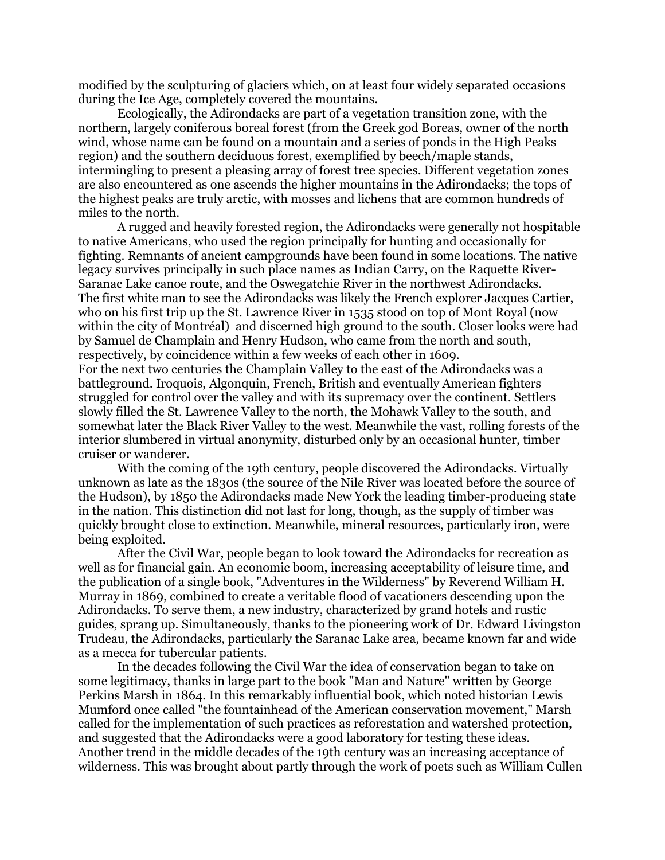modified by the sculpturing of glaciers which, on at least four widely separated occasions during the Ice Age, completely covered the mountains.

Ecologically, the Adirondacks are part of a vegetation transition zone, with the northern, largely coniferous boreal forest (from the Greek god Boreas, owner of the north wind, whose name can be found on a mountain and a series of ponds in the High Peaks region) and the southern deciduous forest, exemplified by beech/maple stands, intermingling to present a pleasing array of forest tree species. Different vegetation zones are also encountered as one ascends the higher mountains in the Adirondacks; the tops of the highest peaks are truly arctic, with mosses and lichens that are common hundreds of miles to the north.

A rugged and heavily forested region, the Adirondacks were generally not hospitable to native Americans, who used the region principally for hunting and occasionally for fighting. Remnants of ancient campgrounds have been found in some locations. The native legacy survives principally in such place names as Indian Carry, on the Raquette River-Saranac Lake canoe route, and the Oswegatchie River in the northwest Adirondacks. The first white man to see the Adirondacks was likely the French explorer Jacques Cartier, who on his first trip up the St. Lawrence River in 1535 stood on top of Mont Royal (now within the city of Montréal) and discerned high ground to the south. Closer looks were had by Samuel de Champlain and Henry Hudson, who came from the north and south, respectively, by coincidence within a few weeks of each other in 1609.

For the next two centuries the Champlain Valley to the east of the Adirondacks was a battleground. Iroquois, Algonquin, French, British and eventually American fighters struggled for control over the valley and with its supremacy over the continent. Settlers slowly filled the St. Lawrence Valley to the north, the Mohawk Valley to the south, and somewhat later the Black River Valley to the west. Meanwhile the vast, rolling forests of the interior slumbered in virtual anonymity, disturbed only by an occasional hunter, timber cruiser or wanderer.

With the coming of the 19th century, people discovered the Adirondacks. Virtually unknown as late as the 1830s (the source of the Nile River was located before the source of the Hudson), by 1850 the Adirondacks made New York the leading timber-producing state in the nation. This distinction did not last for long, though, as the supply of timber was quickly brought close to extinction. Meanwhile, mineral resources, particularly iron, were being exploited.

After the Civil War, people began to look toward the Adirondacks for recreation as well as for financial gain. An economic boom, increasing acceptability of leisure time, and the publication of a single book, "Adventures in the Wilderness" by Reverend William H. Murray in 1869, combined to create a veritable flood of vacationers descending upon the Adirondacks. To serve them, a new industry, characterized by grand hotels and rustic guides, sprang up. Simultaneously, thanks to the pioneering work of Dr. Edward Livingston Trudeau, the Adirondacks, particularly the Saranac Lake area, became known far and wide as a mecca for tubercular patients.

In the decades following the Civil War the idea of conservation began to take on some legitimacy, thanks in large part to the book "Man and Nature" written by George Perkins Marsh in 1864. In this remarkably influential book, which noted historian Lewis Mumford once called "the fountainhead of the American conservation movement," Marsh called for the implementation of such practices as reforestation and watershed protection, and suggested that the Adirondacks were a good laboratory for testing these ideas. Another trend in the middle decades of the 19th century was an increasing acceptance of wilderness. This was brought about partly through the work of poets such as William Cullen